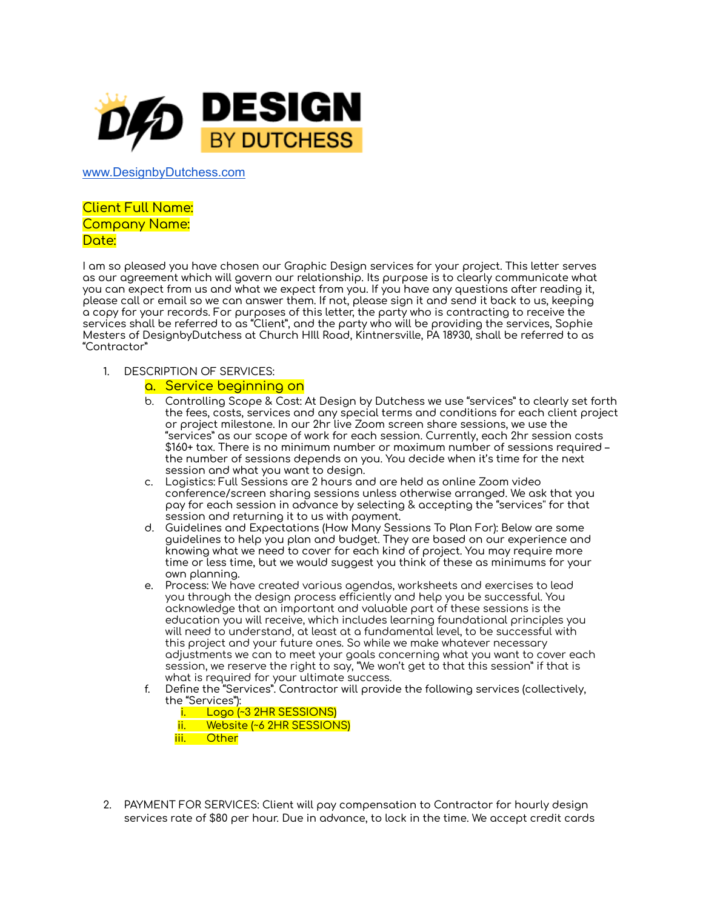

[www.DesignbyDutchess.com](http://www.designbydutchess.com)

Client Full Name: Company Name: Date:

I am so pleased you have chosen our Graphic Design services for your project. This letter serves as our agreement which will govern our relationship. Its purpose is to clearly communicate what you can expect from us and what we expect from you. If you have any questions after reading it, please call or email so we can answer them. If not, please sign it and send it back to us, keeping a copy for your records. For purposes of this letter, the party who is contracting to receive the services shall be referred to as "Client", and the party who will be providing the services, Sophie Mesters of DesignbyDutchess at Church HIll Road, Kintnersville, PA 18930, shall be referred to as "Contractor"

- 1. DESCRIPTION OF SERVICES:
	- a. Service beginning on
	- b. Controlling Scope & Cost: At Design by Dutchess we use "services" to clearly set forth the fees, costs, services and any special terms and conditions for each client project or project milestone. In our 2hr live Zoom screen share sessions, we use the "services" as our scope of work for each session. Currently, each 2hr session costs \$160+ tax. There is no minimum number or maximum number of sessions required – the number of sessions depends on you. You decide when it's time for the next session and what you want to design.
	- c. Logistics: Full Sessions are 2 hours and are held as online Zoom video conference/screen sharing sessions unless otherwise arranged. We ask that you pay for each session in advance by selecting & accepting the "services'' for that session and returning it to us with payment.
	- d. Guidelines and Expectations (How Many Sessions To Plan For): Below are some guidelines to help you plan and budget. They are based on our experience and knowing what we need to cover for each kind of project. You may require more time or less time, but we would suggest you think of these as minimums for your own planning.
	- e. Process: We have created various agendas, worksheets and exercises to lead you through the design process efficiently and help you be successful. You acknowledge that an important and valuable part of these sessions is the education you will receive, which includes learning foundational principles you will need to understand, at least at a fundamental level, to be successful with this project and your future ones. So while we make whatever necessary adjustments we can to meet your goals concerning what you want to cover each session, we reserve the right to say, "We won't get to that this session" if that is what is required for your ultimate success.
	- f. Define the "Services". Contractor will provide the following services (collectively, the "Services"):

i. Logo (~3 2HR SESSIONS) ii. Website (~6 2HR SESSIONS) iii. Other

2. PAYMENT FOR SERVICES: Client will pay compensation to Contractor for hourly design services rate of \$80 per hour. Due in advance, to lock in the time. We accept credit cards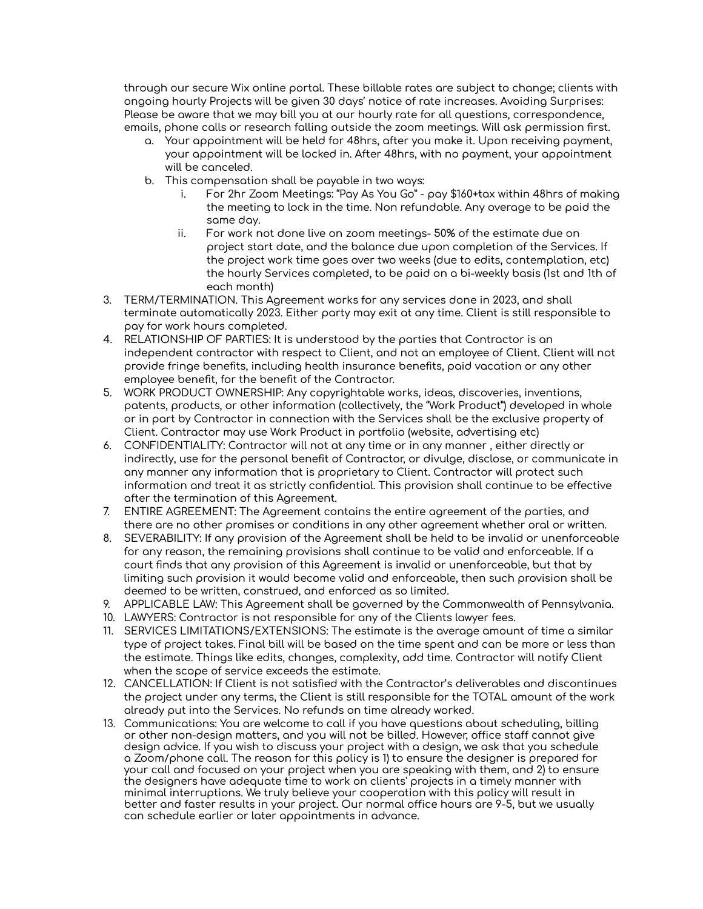through our secure Wix online portal. These billable rates are subject to change; clients with ongoing hourly Projects will be given 30 days' notice of rate increases. Avoiding Surprises: Please be aware that we may bill you at our hourly rate for all questions, correspondence, emails, phone calls or research falling outside the zoom meetings. Will ask permission first.

- a. Your appointment will be held for 48hrs, after you make it. Upon receiving payment, your appointment will be locked in. After 48hrs, with no payment, your appointment will be canceled.
- b. This compensation shall be payable in two ways:
	- i. For 2hr Zoom Meetings: "Pay As You Go" pay \$160+tax within 48hrs of making the meeting to lock in the time. Non refundable. Any overage to be paid the same day.
	- ii. For work not done live on zoom meetings- 50% of the estimate due on project start date, and the balance due upon completion of the Services. If the project work time goes over two weeks (due to edits, contemplation, etc) the hourly Services completed, to be paid on a bi-weekly basis (1st and 1th of each month)
- 3. TERM/TERMINATION. This Agreement works for any services done in 2023, and shall terminate automatically 2023. Either party may exit at any time. Client is still responsible to pay for work hours completed.
- 4. RELATIONSHIP OF PARTIES: It is understood by the parties that Contractor is an independent contractor with respect to Client, and not an employee of Client. Client will not provide fringe benefits, including health insurance benefits, paid vacation or any other employee benefit, for the benefit of the Contractor.
- 5. WORK PRODUCT OWNERSHIP: Any copyrightable works, ideas, discoveries, inventions, patents, products, or other information (collectively, the "Work Product") developed in whole or in part by Contractor in connection with the Services shall be the exclusive property of Client. Contractor may use Work Product in portfolio (website, advertising etc)
- 6. CONFIDENTIALITY: Contractor will not at any time or in any manner , either directly or indirectly, use for the personal benefit of Contractor, or divulge, disclose, or communicate in any manner any information that is proprietary to Client. Contractor will protect such information and treat it as strictly confidential. This provision shall continue to be effective after the termination of this Agreement.
- 7. ENTIRE AGREEMENT: The Agreement contains the entire agreement of the parties, and there are no other promises or conditions in any other agreement whether oral or written.
- 8. SEVERABILITY: If any provision of the Agreement shall be held to be invalid or unenforceable for any reason, the remaining provisions shall continue to be valid and enforceable. If a court finds that any provision of this Agreement is invalid or unenforceable, but that by limiting such provision it would become valid and enforceable, then such provision shall be deemed to be written, construed, and enforced as so limited.
- 9. APPLICABLE LAW: This Agreement shall be governed by the Commonwealth of Pennsylvania.
- 10. LAWYERS: Contractor is not responsible for any of the Clients lawyer fees.
- 11. SERVICES LIMITATIONS/EXTENSIONS: The estimate is the average amount of time a similar type of project takes. Final bill will be based on the time spent and can be more or less than the estimate. Things like edits, changes, complexity, add time. Contractor will notify Client when the scope of service exceeds the estimate.
- 12. CANCELLATION: If Client is not satisfied with the Contractor's deliverables and discontinues the project under any terms, the Client is still responsible for the TOTAL amount of the work already put into the Services. No refunds on time already worked.
- 13. Communications: You are welcome to call if you have questions about scheduling, billing or other non-design matters, and you will not be billed. However, office staff cannot give design advice. If you wish to discuss your project with a design, we ask that you schedule a Zoom/phone call. The reason for this policy is 1) to ensure the designer is prepared for your call and focused on your project when you are speaking with them, and 2) to ensure the designers have adequate time to work on clients' projects in a timely manner with minimal interruptions. We truly believe your cooperation with this policy will result in better and faster results in your project. Our normal office hours are 9-5, but we usually can schedule earlier or later appointments in advance.